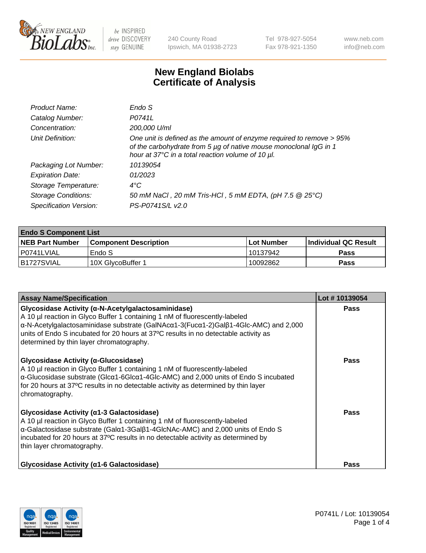

240 County Road Ipswich, MA 01938-2723 Tel 978-927-5054 Fax 978-921-1350 www.neb.com info@neb.com

## **New England Biolabs Certificate of Analysis**

| Product Name:              | Endo S                                                                                                                                                                                         |
|----------------------------|------------------------------------------------------------------------------------------------------------------------------------------------------------------------------------------------|
| Catalog Number:            | P0741L                                                                                                                                                                                         |
| Concentration:             | 200,000 U/ml                                                                                                                                                                                   |
| Unit Definition:           | One unit is defined as the amount of enzyme required to remove > 95%<br>of the carbohydrate from 5 µg of native mouse monoclonal IgG in 1<br>hour at 37°C in a total reaction volume of 10 µl. |
| Packaging Lot Number:      | 10139054                                                                                                                                                                                       |
| <b>Expiration Date:</b>    | 01/2023                                                                                                                                                                                        |
| Storage Temperature:       | $4^{\circ}$ C                                                                                                                                                                                  |
| <b>Storage Conditions:</b> | 50 mM NaCl, 20 mM Tris-HCl, 5 mM EDTA, (pH 7.5 @ 25°C)                                                                                                                                         |
| Specification Version:     | PS-P0741S/L v2.0                                                                                                                                                                               |

| <b>Endo S Component List</b> |                         |              |                             |  |  |
|------------------------------|-------------------------|--------------|-----------------------------|--|--|
| <b>NEB Part Number</b>       | l Component Description | l Lot Number | <b>Individual QC Result</b> |  |  |
| l P0741LVIAL                 | Endo S                  | 10137942     | <b>Pass</b>                 |  |  |
| IB1727SVIAL                  | 10X GlycoBuffer 1       | 10092862     | Pass                        |  |  |

| <b>Assay Name/Specification</b>                                                                                                                                                                                                                                                                                                                             | Lot #10139054 |
|-------------------------------------------------------------------------------------------------------------------------------------------------------------------------------------------------------------------------------------------------------------------------------------------------------------------------------------------------------------|---------------|
| Glycosidase Activity (a-N-Acetylgalactosaminidase)<br>A 10 µl reaction in Glyco Buffer 1 containing 1 nM of fluorescently-labeled<br>α-N-Acetylgalactosaminidase substrate (GalNAcα1-3(Fucα1-2)Galβ1-4Glc-AMC) and 2,000<br>units of Endo S incubated for 20 hours at 37°C results in no detectable activity as<br>determined by thin layer chromatography. | Pass          |
| Glycosidase Activity (α-Glucosidase)<br>A 10 µl reaction in Glyco Buffer 1 containing 1 nM of fluorescently-labeled<br>$\alpha$ -Glucosidase substrate (Glc $\alpha$ 1-6Glc $\alpha$ 1-4Glc-AMC) and 2,000 units of Endo S incubated<br>for 20 hours at 37°C results in no detectable activity as determined by thin layer<br>chromatography.               | <b>Pass</b>   |
| Glycosidase Activity (α1-3 Galactosidase)<br>A 10 µl reaction in Glyco Buffer 1 containing 1 nM of fluorescently-labeled<br>α-Galactosidase substrate (Galα1-3Galβ1-4GlcNAc-AMC) and 2,000 units of Endo S<br>incubated for 20 hours at 37°C results in no detectable activity as determined by<br>thin layer chromatography.                               | <b>Pass</b>   |
| Glycosidase Activity (α1-6 Galactosidase)                                                                                                                                                                                                                                                                                                                   | Pass          |

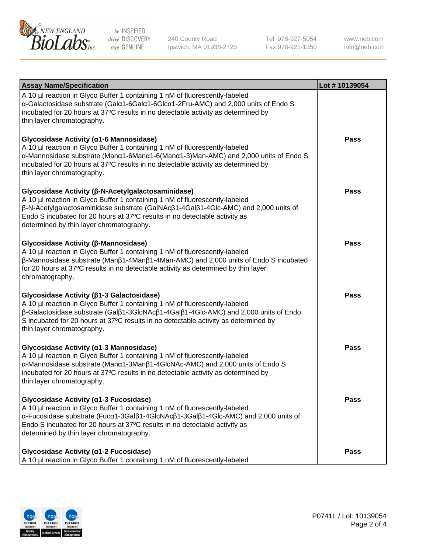

240 County Road Ipswich, MA 01938-2723 Tel 978-927-5054 Fax 978-921-1350 www.neb.com info@neb.com

| <b>Assay Name/Specification</b>                                                                                                                                                                                                                                                                                                                                           | Lot #10139054 |
|---------------------------------------------------------------------------------------------------------------------------------------------------------------------------------------------------------------------------------------------------------------------------------------------------------------------------------------------------------------------------|---------------|
| A 10 µl reaction in Glyco Buffer 1 containing 1 nM of fluorescently-labeled<br>α-Galactosidase substrate (Galα1-6Galα1-6Glcα1-2Fru-AMC) and 2,000 units of Endo S<br>incubated for 20 hours at 37°C results in no detectable activity as determined by<br>thin layer chromatography.                                                                                      |               |
| Glycosidase Activity (α1-6 Mannosidase)<br>A 10 µl reaction in Glyco Buffer 1 containing 1 nM of fluorescently-labeled<br>α-Mannosidase substrate (Μanα1-6Μanα1-6(Μanα1-3)Man-AMC) and 2,000 units of Endo S<br>incubated for 20 hours at 37°C results in no detectable activity as determined by<br>thin layer chromatography.                                           | <b>Pass</b>   |
| Glycosidase Activity (β-N-Acetylgalactosaminidase)<br>A 10 µl reaction in Glyco Buffer 1 containing 1 nM of fluorescently-labeled<br>$\beta$ -N-Acetylgalactosaminidase substrate (GalNAc $\beta$ 1-4Gal $\beta$ 1-4Glc-AMC) and 2,000 units of<br>Endo S incubated for 20 hours at 37°C results in no detectable activity as<br>determined by thin layer chromatography. | <b>Pass</b>   |
| Glycosidase Activity (β-Mannosidase)<br>A 10 µl reaction in Glyco Buffer 1 containing 1 nM of fluorescently-labeled<br>$\beta$ -Mannosidase substrate (Man $\beta$ 1-4Man $\beta$ 1-4Man-AMC) and 2,000 units of Endo S incubated<br>for 20 hours at 37°C results in no detectable activity as determined by thin layer<br>chromatography.                                | <b>Pass</b>   |
| Glycosidase Activity (β1-3 Galactosidase)<br>A 10 µl reaction in Glyco Buffer 1 containing 1 nM of fluorescently-labeled<br>β-Galactosidase substrate (Galβ1-3GlcNAcβ1-4Galβ1-4Glc-AMC) and 2,000 units of Endo<br>S incubated for 20 hours at 37°C results in no detectable activity as determined by<br>thin layer chromatography.                                      | <b>Pass</b>   |
| Glycosidase Activity (α1-3 Mannosidase)<br>A 10 µl reaction in Glyco Buffer 1 containing 1 nM of fluorescently-labeled<br>α-Mannosidase substrate (Manα1-3Manβ1-4GlcNAc-AMC) and 2,000 units of Endo S<br>incubated for 20 hours at 37°C results in no detectable activity as determined by<br>thin layer chromatography.                                                 | Pass          |
| Glycosidase Activity (α1-3 Fucosidase)<br>A 10 µl reaction in Glyco Buffer 1 containing 1 nM of fluorescently-labeled<br>α-Fucosidase substrate (Fucα1-3Galβ1-4GlcNAcβ1-3Galβ1-4Glc-AMC) and 2,000 units of<br>Endo S incubated for 20 hours at 37°C results in no detectable activity as<br>determined by thin layer chromatography.                                     | <b>Pass</b>   |
| Glycosidase Activity (α1-2 Fucosidase)<br>A 10 µl reaction in Glyco Buffer 1 containing 1 nM of fluorescently-labeled                                                                                                                                                                                                                                                     | <b>Pass</b>   |

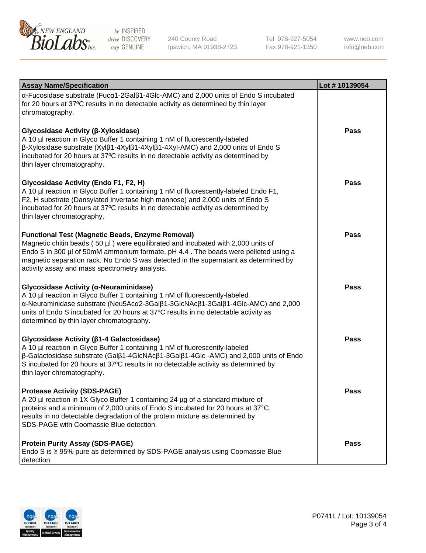

240 County Road Ipswich, MA 01938-2723 Tel 978-927-5054 Fax 978-921-1350

www.neb.com info@neb.com

| <b>Assay Name/Specification</b>                                                                                                                                                                                                                                                                                                                                                             | Lot #10139054 |
|---------------------------------------------------------------------------------------------------------------------------------------------------------------------------------------------------------------------------------------------------------------------------------------------------------------------------------------------------------------------------------------------|---------------|
| $\alpha$ -Fucosidase substrate (Fuc $\alpha$ 1-2Gal $\beta$ 1-4Glc-AMC) and 2,000 units of Endo S incubated<br>for 20 hours at 37°C results in no detectable activity as determined by thin layer<br>chromatography.                                                                                                                                                                        |               |
| <b>Glycosidase Activity (β-Xylosidase)</b><br>A 10 µl reaction in Glyco Buffer 1 containing 1 nM of fluorescently-labeled<br>$\beta$ -Xylosidase substrate (Xyl $\beta$ 1-4Xyl $\beta$ 1-4Xyl $\beta$ 1-4Xyl-AMC) and 2,000 units of Endo S<br>incubated for 20 hours at 37°C results in no detectable activity as determined by<br>thin layer chromatography.                              | <b>Pass</b>   |
| <b>Glycosidase Activity (Endo F1, F2, H)</b><br>A 10 µl reaction in Glyco Buffer 1 containing 1 nM of fluorescently-labeled Endo F1,<br>F2, H substrate (Dansylated invertase high mannose) and 2,000 units of Endo S<br>incubated for 20 hours at 37°C results in no detectable activity as determined by<br>thin layer chromatography.                                                    | <b>Pass</b>   |
| <b>Functional Test (Magnetic Beads, Enzyme Removal)</b><br>Magnetic chitin beads (50 µl) were equilibrated and incubated with 2,000 units of<br>Endo S in 300 µl of 50mM ammonium formate, pH 4.4. The beads were pelleted using a<br>magnetic separation rack. No Endo S was detected in the supernatant as determined by<br>activity assay and mass spectrometry analysis.                | <b>Pass</b>   |
| <b>Glycosidase Activity (α-Neuraminidase)</b><br>A 10 µl reaction in Glyco Buffer 1 containing 1 nM of fluorescently-labeled<br>$\alpha$ -Neuraminidase substrate (Neu5Ac $\alpha$ 2-3Gal $\beta$ 1-3GlcNAc $\beta$ 1-3Gal $\beta$ 1-4Glc-AMC) and 2,000<br>units of Endo S incubated for 20 hours at 37°C results in no detectable activity as<br>determined by thin layer chromatography. | <b>Pass</b>   |
| <b>Glycosidase Activity (β1-4 Galactosidase)</b><br>A 10 µl reaction in Glyco Buffer 1 containing 1 nM of fluorescently-labeled<br>$\beta$ -Galactosidase substrate (Gal $\beta$ 1-4GlcNAc $\beta$ 1-3Gal $\beta$ 1-4Glc -AMC) and 2,000 units of Endo<br>S incubated for 20 hours at 37°C results in no detectable activity as determined by<br>thin layer chromatography.                 | <b>Pass</b>   |
| <b>Protease Activity (SDS-PAGE)</b><br>A 20 µl reaction in 1X Glyco Buffer 1 containing 24 µg of a standard mixture of<br>proteins and a minimum of 2,000 units of Endo S incubated for 20 hours at 37°C,<br>results in no detectable degradation of the protein mixture as determined by<br>SDS-PAGE with Coomassie Blue detection.                                                        | Pass          |
| <b>Protein Purity Assay (SDS-PAGE)</b><br>Endo S is ≥ 95% pure as determined by SDS-PAGE analysis using Coomassie Blue<br>detection.                                                                                                                                                                                                                                                        | <b>Pass</b>   |